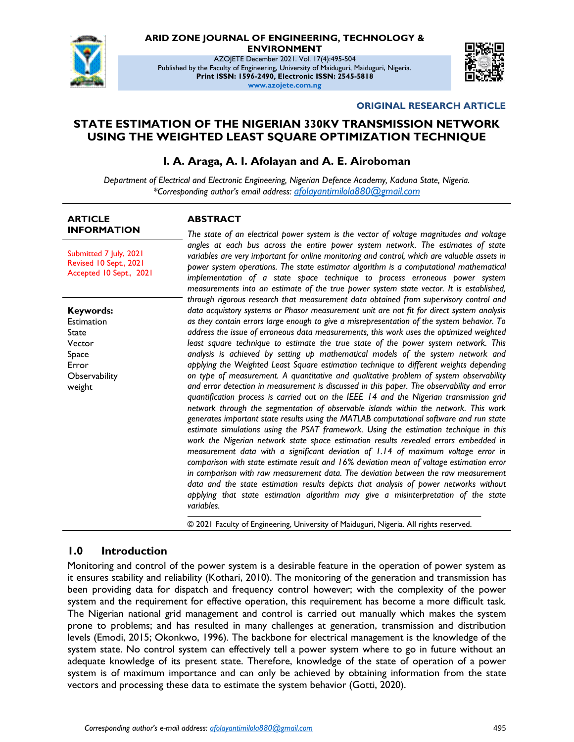

# **ARID ZONE JOURNAL OF ENGINEERING, TECHNOLOGY &**

**ENVIRONMENT**

AZOJETE December 2021. Vol. 17(4):495-504 Published by the Faculty of Engineering, University of Maiduguri, Maiduguri, Nigeria. **Print ISSN: 1596-2490, Electronic ISSN: 2545-5818 www.azojete.com.ng**



#### **ORIGINAL RESEARCH ARTICLE**

# **STATE ESTIMATION OF THE NIGERIAN 330KV TRANSMISSION NETWORK USING THE WEIGHTED LEAST SQUARE OPTIMIZATION TECHNIQUE**

### **I. A. Araga, A. I. Afolayan and A. E. Airoboman**

*Department of Electrical and Electronic Engineering, Nigerian Defence Academy, Kaduna State, Nigeria. \*Corresponding author's email address: <afolayantimilola880@gmail.com>*

#### **ARTICLE INFORMATION**

Submitted 7 July, 2021 Revised 10 Sept., 2021 Accepted 10 Sept., 2021

**Keywords:** Estimation State Vector Space Error **Observability** weight

#### **ABSTRACT**

*The state of an electrical power system is the vector of voltage magnitudes and voltage angles at each bus across the entire power system network. The estimates of state variables are very important for online monitoring and control, which are valuable assets in power system operations. The state estimator algorithm is a computational mathematical implementation of a state space technique to process erroneous power system measurements into an estimate of the true power system state vector. It is established, through rigorous research that measurement data obtained from supervisory control and data acquistory systems or Phasor measurement unit are not fit for direct system analysis as they contain errors large enough to give a misrepresentation of the system behavior. To address the issue of erroneous data measurements, this work uses the optimized weighted least square technique to estimate the true state of the power system network. This analysis is achieved by setting up mathematical models of the system network and applying the Weighted Least Square estimation technique to different weights depending on type of measurement. A quantitative and qualitative problem of system observability and error detection in measurement is discussed in this paper. The observability and error quantification process is carried out on the IEEE 14 and the Nigerian transmission grid network through the segmentation of observable islands within the network. This work generates important state results using the MATLAB computational software and run state estimate simulations using the PSAT framework. Using the estimation technique in this work the Nigerian network state space estimation results revealed errors embedded in measurement data with a significant deviation of 1.14 of maximum voltage error in comparison with state estimate result and 16% deviation mean of voltage estimation error in comparison with raw measurement data. The deviation between the raw measurement data and the state estimation results depicts that analysis of power networks without applying that state estimation algorithm may give a misinterpretation of the state variables.*

© 2021 Faculty of Engineering, University of Maiduguri, Nigeria. All rights reserved.

### **1.0 Introduction**

Monitoring and control of the power system is a desirable feature in the operation of power system as it ensures stability and reliability (Kothari, 2010). The monitoring of the generation and transmission has been providing data for dispatch and frequency control however; with the complexity of the power system and the requirement for effective operation, this requirement has become a more difficult task. The Nigerian national grid management and control is carried out manually which makes the system prone to problems; and has resulted in many challenges at generation, transmission and distribution levels (Emodi, 2015; Okonkwo, 1996). The backbone for electrical management is the knowledge of the system state. No control system can effectively tell a power system where to go in future without an adequate knowledge of its present state. Therefore, knowledge of the state of operation of a power system is of maximum importance and can only be achieved by obtaining information from the state vectors and processing these data to estimate the system behavior (Gotti, 2020).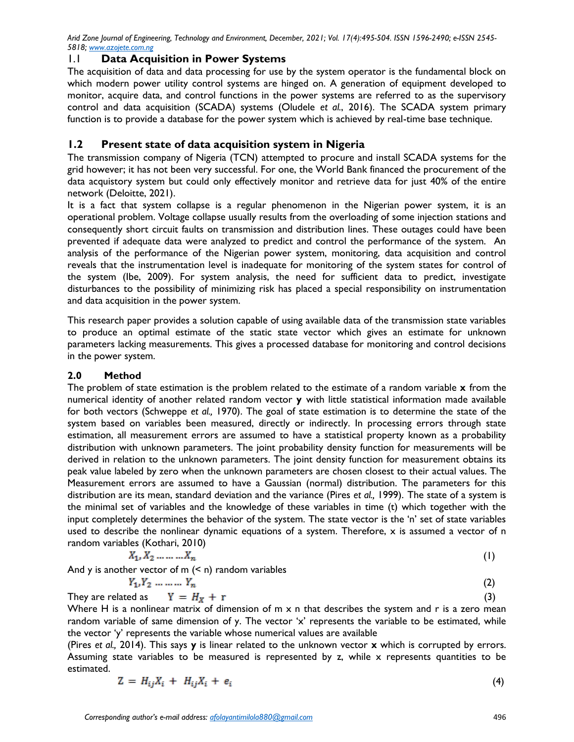# 1.1 **Data Acquisition in Power Systems**

The acquisition of data and data processing for use by the system operator is the fundamental block on which modern power utility control systems are hinged on. A generation of equipment developed to monitor, acquire data, and control functions in the power systems are referred to as the supervisory control and data acquisition (SCADA) systems (Oludele *et al.*, 2016). The SCADA system primary function is to provide a database for the power system which is achieved by real-time base technique.

# **1.2 Present state of data acquisition system in Nigeria**

The transmission company of Nigeria (TCN) attempted to procure and install SCADA systems for the grid however; it has not been very successful. For one, the World Bank financed the procurement of the data acquistory system but could only effectively monitor and retrieve data for just 40% of the entire network (Deloitte, 2021).

It is a fact that system collapse is a regular phenomenon in the Nigerian power system, it is an operational problem. Voltage collapse usually results from the overloading of some injection stations and consequently short circuit faults on transmission and distribution lines. These outages could have been prevented if adequate data were analyzed to predict and control the performance of the system. An analysis of the performance of the Nigerian power system, monitoring, data acquisition and control reveals that the instrumentation level is inadequate for monitoring of the system states for control of the system (Ibe, 2009). For system analysis, the need for sufficient data to predict, investigate disturbances to the possibility of minimizing risk has placed a special responsibility on instrumentation and data acquisition in the power system.

This research paper provides a solution capable of using available data of the transmission state variables to produce an optimal estimate of the static state vector which gives an estimate for unknown parameters lacking measurements. This gives a processed database for monitoring and control decisions in the power system.

# **2.0 Method**

The problem of state estimation is the problem related to the estimate of a random variable **x** from the numerical identity of another related random vector **y** with little statistical information made available for both vectors (Schweppe *et al.,* 1970). The goal of state estimation is to determine the state of the system based on variables been measured, directly or indirectly. In processing errors through state estimation, all measurement errors are assumed to have a statistical property known as a probability distribution with unknown parameters. The joint probability density function for measurements will be derived in relation to the unknown parameters. The joint density function for measurement obtains its peak value labeled by zero when the unknown parameters are chosen closest to their actual values. The Measurement errors are assumed to have a Gaussian (normal) distribution. The parameters for this distribution are its mean, standard deviation and the variance (Pires *et al.,* 1999). The state of a system is the minimal set of variables and the knowledge of these variables in time (t) which together with the input completely determines the behavior of the system. The state vector is the 'n' set of state variables used to describe the nonlinear dynamic equations of a system. Therefore, x is assumed a vector of n random variables (Kothari, 2010)

$$
X_1, X_2, \ldots, X_n \tag{1}
$$

And y is another vector of  $m$  ( $\leq n$ ) random variables

$$
Y_1, Y_2, \ldots, \ldots, Y_n \tag{2}
$$

They are related as 
$$
Y = H_X + r
$$
 (3)

Where H is a nonlinear matrix of dimension of m x n that describes the system and r is a zero mean random variable of same dimension of y. The vector 'x' represents the variable to be estimated, while the vector 'y' represents the variable whose numerical values are available

(Pires *et al.,* 2014). This says **y** is linear related to the unknown vector **x** which is corrupted by errors. Assuming state variables to be measured is represented by  $z$ , while  $x$  represents quantities to be estimated.

$$
Z = H_{ij}X_i + H_{ij}X_i + e_i \tag{4}
$$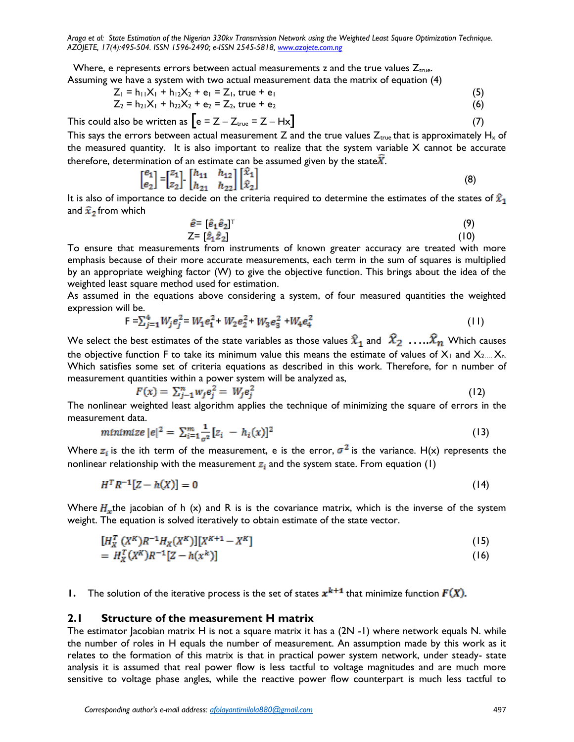Where, e represents errors between actual measurements z and the true values  $Z_{true}$ . Assuming we have a system with two actual measurement data the matrix of equation (4)

$$
Z_1 = h_{11}X_1 + h_{12}X_2 + e_1 = Z_1, \text{ true } + e_1 \tag{5}
$$

$$
Z_2 = h_{21}X_1 + h_{22}X_2 + e_2 = Z_2, \text{ true } + e_2 \tag{6}
$$

This could also be written as  $\left[e = Z - Z_{true} = Z - Hx\right]$  (7)

This says the errors between actual measurement Z and the true values  $Z_{true}$  that is approximately  $H_x$  of the measured quantity. It is also important to realize that the system variable  $X$  cannot be accurate therefore, determination of an estimate can be assumed given by the state $\hat{X}$ .

$$
\begin{bmatrix} e_1 \\ e_2 \end{bmatrix} = \begin{bmatrix} z_1 \\ z_2 \end{bmatrix} \begin{bmatrix} h_{11} & h_{12} \\ h_{21} & h_{22} \end{bmatrix} \begin{bmatrix} \hat{x}_1 \\ \hat{x}_2 \end{bmatrix}
$$
 (8)

It is also of importance to decide on the criteria required to determine the estimates of the states of  $\hat{x}_1$ and  $\hat{x}_2$  from which

$$
\hat{e} = [\hat{e}_1 \hat{e}_2]^\top
$$
\n
$$
Z = [\hat{z}_1 \hat{z}_2]
$$
\n(9)\n(10)

To ensure that measurements from instruments of known greater accuracy are treated with more emphasis because of their more accurate measurements, each term in the sum of squares is multiplied by an appropriate weighing factor (W) to give the objective function. This brings about the idea of the weighted least square method used for estimation.

As assumed in the equations above considering a system, of four measured quantities the weighted expression will be.

$$
F = \sum_{j=1}^{4} W_j e_j^2 = W_1 e_1^2 + W_2 e_2^2 + W_3 e_3^2 + W_4 e_4^2
$$
 (11)

We select the best estimates of the state variables as those values  $\widehat{x}_1$  and  $\widehat{x}_2$  .... $\widehat{x}_n$  Which causes the objective function F to take its minimum value this means the estimate of values of  $X_1$  and  $X_{2...}$ ,  $X_{n}$ . Which satisfies some set of criteria equations as described in this work. Therefore, for n number of measurement quantities within a power system will be analyzed as,

$$
F(x) = \sum_{j=1}^{n} w_j e_j^2 = W_j e_j^2 \tag{12}
$$

The nonlinear weighted least algorithm applies the technique of minimizing the square of errors in the measurement data.

$$
minimize |e|^2 = \sum_{i=1}^{m} \frac{1}{\sigma^2} [z_i - h_i(x)]^2
$$
\n(13)

Where  $z_i$  is the ith term of the measurement, e is the error,  $\sigma^2$  is the variance. H(x) represents the nonlinear relationship with the measurement  $z_i$  and the system state. From equation (1)

$$
H^T R^{-1} [Z - h(X)] = 0 \tag{14}
$$

Where  $H_x$ the jacobian of h (x) and R is is the covariance matrix, which is the inverse of the system weight. The equation is solved iteratively to obtain estimate of the state vector.

$$
[H_X^T (X^K)R^{-1}H_X(X^K)][X^{K+1} - X^K]
$$
\n(15)

$$
= H_X^T(X^K)R^{-1}[Z - h(x^K)] \tag{16}
$$

**1.** The solution of the iterative process is the set of states  $x^{k+1}$  that minimize function  $F(X)$ .

#### **2.1 Structure of the measurement H matrix**

The estimator Jacobian matrix H is not a square matrix it has a  $(2N - 1)$  where network equals N. while the number of roles in H equals the number of measurement. An assumption made by this work as it relates to the formation of this matrix is that in practical power system network, under steady- state analysis it is assumed that real power flow is less tactful to voltage magnitudes and are much more sensitive to voltage phase angles, while the reactive power flow counterpart is much less tactful to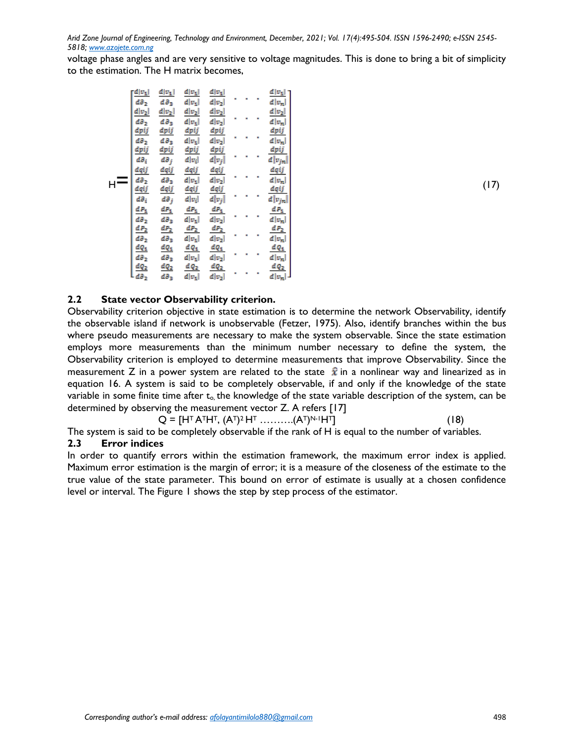voltage phase angles and are very sensitive to voltage magnitudes. This is done to bring a bit of simplicity to the estimation. The H matrix becomes,

|       | $\frac{d v_1 }{dt}$      | $\frac{d v_1 }{dt}$      | $d v_1 $              | $d v_1 $                             |   |   |                | $d v_1 $                     |
|-------|--------------------------|--------------------------|-----------------------|--------------------------------------|---|---|----------------|------------------------------|
|       | $d\partial_2$            | $d\theta_3$              | $d v_1 $              | $d v_2 $                             | ٠ |   | ٠              | $d v_n$                      |
|       | $d v_2 $                 | $d v_2 $                 | $d v_2 $              | $d v_2 $                             |   |   |                | $d v_2 $                     |
|       |                          |                          |                       |                                      | ٠ | ٠ | ٠              |                              |
|       | $d\partial_2$            | $d\theta_3$              | $d v_1 $              | $d v_2 $                             |   |   |                | $d v_n$                      |
|       | <u>dpij</u>              | <u>dpij</u>              | <u>dpij</u>           | $\frac{d \mathfrak{p} i j}{d  v_2 }$ | ٠ | ٠ | ٠              | $\frac{dpij}{d v_n}$         |
|       |                          | $d\partial_3$            | $d v_1 $              |                                      |   |   |                |                              |
|       | də <sub>2</sub><br>dpij  | <u>dpij</u>              | <u>dpij</u>           |                                      |   |   |                | dpij                         |
|       | dθ <sub>i</sub>          | dð <sub>j</sub>          | $d \lvert v_i \rvert$ | $\frac{dpij}{d v_j }$                | ٠ | ٠ | ٠              | $d v_{jn} )$                 |
|       | dqij                     | dqij                     | dqij                  | dqij                                 |   |   |                | dqij                         |
|       | dƏ <sub>2</sub>          | dð <sub>3</sub>          | $d v_1 $              | $d v_2 $                             | ٠ | ٠ | ٠              | $d v_n$                      |
| $H -$ | dqij                     | dqij                     | <u>dqij</u>           |                                      |   |   |                | dqij                         |
|       | $d\partial_i$            | dð <sub>j</sub>          | $d \lvert v_i \rvert$ | $\frac{d q i j}{d  v_j }$            | ٠ | ٠ | ٠              | $d\overline{ v_{jn} })$      |
|       |                          |                          |                       |                                      |   |   |                |                              |
|       | $dP_1$                   | $dP_1$                   | $dP_1$                | $dP_1$                               | ٠ | ٠ | ٠              | $\frac{dP_1}{d v_n }$        |
|       | də <sub>2</sub>          | də <sub>3</sub>          | $d v_1 $              | $d v_2 $                             |   |   |                |                              |
|       | <u>d P2</u>              | $dP_2$                   | $dP_2$                | $dP_2$                               |   |   |                |                              |
|       | də <sub>2</sub>          | də <sub>3</sub>          | $d v_1 $              | $d v_2 $                             | ٠ | ٠ | $\blacksquare$ | $\frac{dP_2}{d v_n }$        |
|       | $dQ_1$                   |                          | $dQ_1$                | $dQ_1$                               |   |   |                |                              |
|       | də <sub>2</sub>          | $rac{dQ_1}{d\partial_3}$ | $d v_1 $              | $d v_2 $                             | ٠ | ٠ | ٠              | $\frac{d\,Q_1}{d\, v_n }$    |
|       |                          | <u>dQ2</u>               | $dQ_2$                | $dQ_2$                               |   |   |                |                              |
|       | $\frac{dQ_2}{d\theta_2}$ | d∂ <sub>3</sub>          | $d v_1 $              | $d v_2 $                             | ٠ | ٠ | ٠              | $\frac{d\ddot{q_2}}{d v_n }$ |

### **2.2 State vector Observability criterion.**

Observability criterion objective in state estimation is to determine the network Observability, identify the observable island if network is unobservable (Fetzer, 1975). Also, identify branches within the bus where pseudo measurements are necessary to make the system observable. Since the state estimation employs more measurements than the minimum number necessary to define the system, the Observability criterion is employed to determine measurements that improve Observability. Since the measurement Z in a power system are related to the state  $\hat{x}$  in a nonlinear way and linearized as in equation 16. A system is said to be completely observable, if and only if the knowledge of the state variable in some finite time after  $t_0$ , the knowledge of the state variable description of the system, can be determined by observing the measurement vector Z. A refers [17]

$$
Q = [HT ATHT, (AT)2HT........(AT)N-1HT]
$$
\n(18)

The system is said to be completely observable if the rank of H is equal to the number of variables. **2.3 Error indices**

In order to quantify errors within the estimation framework, the maximum error index is applied. Maximum error estimation is the margin of error; it is a measure of the closeness of the estimate to the true value of the state parameter. This bound on error of estimate is usually at a chosen confidence level or interval. The Figure 1 shows the step by step process of the estimator.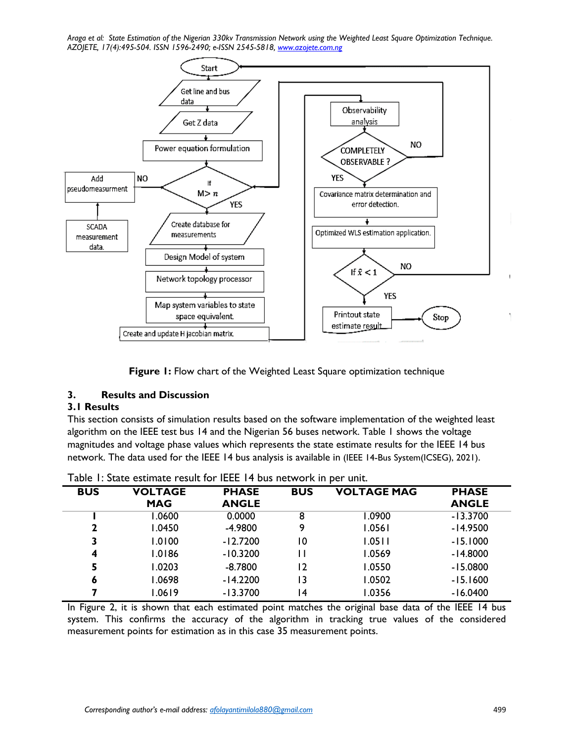

**Figure 1:** Flow chart of the Weighted Least Square optimization technique

### **3. Results and Discussion**

### **3.1 Results**

This section consists of simulation results based on the software implementation of the weighted least algorithm on the IEEE test bus 14 and the Nigerian 56 buses network. Table 1 shows the voltage magnitudes and voltage phase values which represents the state estimate results for the IEEE 14 bus network. The data used for the IEEE 14 bus analysis is available in (IEEE 14-Bus System(ICSEG), 2021).

| <b>BUS</b> | <b>VOLTAGE</b> | <b>PHASE</b> | <b>BUS</b> | <b>VOLTAGE MAG</b> | <b>PHASE</b> |  |  |
|------------|----------------|--------------|------------|--------------------|--------------|--|--|
|            | <b>MAG</b>     | <b>ANGLE</b> |            |                    | <b>ANGLE</b> |  |  |
|            | 1.0600         | 0.0000       | 8          | 1.0900             | $-13.3700$   |  |  |
| 2          | 1.0450         | $-4.9800$    | 9          | 1.0561             | $-14.9500$   |  |  |
| 3          | 1.0100         | $-12.7200$   | 10         | 1.0511             | $-15.1000$   |  |  |
| 4          | 1.0186         | $-10.3200$   |            | 1.0569             | $-14.8000$   |  |  |
| 5          | 1.0203         | $-8.7800$    | 12         | 1.0550             | $-15.0800$   |  |  |
| 6          | 1.0698         | $-14.2200$   | 13         | 1.0502             | $-15.1600$   |  |  |
|            | 1.0619         | $-13.3700$   | ا 4        | 1.0356             | $-16.0400$   |  |  |
|            |                |              |            |                    |              |  |  |

Table 1: State estimate result for IEEE 14 bus network in per unit.

In Figure 2, it is shown that each estimated point matches the original base data of the IEEE 14 bus system. This confirms the accuracy of the algorithm in tracking true values of the considered measurement points for estimation as in this case 35 measurement points.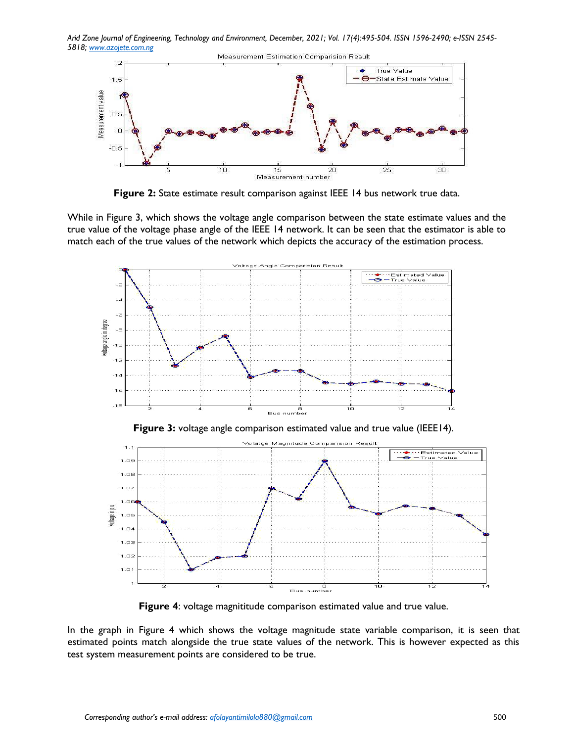*Arid Zone Journal of Engineering, Technology and Environment, December, 2021; Vol. 17(4):495-504. ISSN 1596-2490; e-ISSN 2545- 5818; www.azojete.com.ng*



**Figure 2:** State estimate result comparison against IEEE 14 bus network true data.

While in Figure 3, which shows the voltage angle comparison between the state estimate values and the true value of the voltage phase angle of the IEEE 14 network. It can be seen that the estimator is able to match each of the true values of the network which depicts the accuracy of the estimation process.



**Figure 4:** voltage magnititude comparison estimated value and true value.

In the graph in Figure 4 which shows the voltage magnitude state variable comparison, it is seen that estimated points match alongside the true state values of the network. This is however expected as this test system measurement points are considered to be true.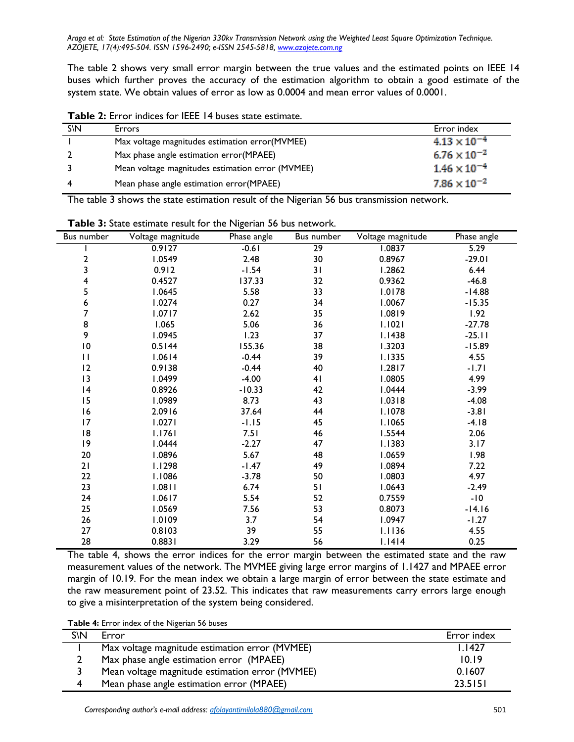The table 2 shows very small error margin between the true values and the estimated points on IEEE 14 buses which further proves the accuracy of the estimation algorithm to obtain a good estimate of the system state. We obtain values of error as low as 0.0004 and mean error values of 0.0001.

| S\N | <b>Errors</b>                                    | Error index           |
|-----|--------------------------------------------------|-----------------------|
|     | Max voltage magnitudes estimation error(MVMEE)   | $4.13 \times 10^{-4}$ |
|     | Max phase angle estimation error(MPAEE)          | $6.76 \times 10^{-2}$ |
|     | Mean voltage magnitudes estimation error (MVMEE) | $1.46 \times 10^{-4}$ |
|     | Mean phase angle estimation error(MPAEE)         | $7.86 \times 10^{-2}$ |

**Table 2:** Error indices for IEEE 14 buses state estimate.

The table 3 shows the state estimation result of the Nigerian 56 bus transmission network.

| Bus number      | Voltage magnitude | Phase angle | Bus number      | Voltage magnitude | Phase angle |
|-----------------|-------------------|-------------|-----------------|-------------------|-------------|
|                 | 0.9127            | $-0.61$     | $\overline{29}$ | 1.0837            | 5.29        |
| 2               | 1.0549            | 2.48        | 30              | 0.8967            | $-29.01$    |
| 3               | 0.912             | $-1.54$     | 31              | 1.2862            | 6.44        |
| 4               | 0.4527            | 137.33      | 32              | 0.9362            | $-46.8$     |
| 5               | 1.0645            | 5.58        | 33              | 1.0178            | $-14.88$    |
| 6<br>7          | 1.0274            | 0.27        | 34              | 1.0067            | $-15.35$    |
|                 | 1.0717            | 2.62        | 35              | 1.0819            | 1.92        |
| 8               | 1.065             | 5.06        | 36              | 1.1021            | $-27.78$    |
| 9               | 1.0945            | 1.23        | 37              | 1.1438            | $-25.11$    |
| $\overline{10}$ | 0.5144            | 155.36      | 38              | 1.3203            | $-15.89$    |
| $\mathbf{H}$    | 1.0614            | $-0.44$     | 39              | 1.1335            | 4.55        |
| 12              | 0.9138            | $-0.44$     | 40              | 1.2817            | $-1.71$     |
| 13              | 1.0499            | $-4.00$     | 41              | 1.0805            | 4.99        |
| 4               | 0.8926            | $-10.33$    | 42              | 1.0444            | $-3.99$     |
| 15              | 1.0989            | 8.73        | 43              | 1.0318            | $-4.08$     |
| 16              | 2.0916            | 37.64       | 44              | I.1078            | $-3.81$     |
| 17              | 1.0271            | $-1.15$     | 45              | <b>I.1065</b>     | $-4.18$     |
| 18              | 1.1761            | 7.51        | 46              | 1.5544            | 2.06        |
| 9               | 1.0444            | $-2.27$     | 47              | 1.1383            | 3.17        |
| 20              | 1.0896            | 5.67        | 48              | 1.0659            | 1.98        |
| 21              | 1.1298            | $-1.47$     | 49              | 1.0894            | 7.22        |
| 22              | 1.1086            | $-3.78$     | 50              | 1.0803            | 4.97        |
| 23              | 1.0811            | 6.74        | 51              | 1.0643            | $-2.49$     |
| 24              | 1.0617            | 5.54        | 52              | 0.7559            | $-10$       |
| 25              | 1.0569            | 7.56        | 53              | 0.8073            | $-14.16$    |
| 26              | 1.0109            | 3.7         | 54              | 1.0947            | $-1.27$     |
| 27              | 0.8103            | 39          | 55              | 1.1136            | 4.55        |
| 28              | 0.8831            | 3.29        | 56              | 1.1414            | 0.25        |

**Table 3:** State estimate result for the Nigerian 56 bus network.

The table 4, shows the error indices for the error margin between the estimated state and the raw measurement values of the network. The MVMEE giving large error margins of 1.1427 and MPAEE error margin of 10.19. For the mean index we obtain a large margin of error between the state estimate and the raw measurement point of 23.52. This indicates that raw measurements carry errors large enough to give a misinterpretation of the system being considered.

**Table 4:** Error index of the Nigerian 56 buses

| S\N | Error                                           | Error index |
|-----|-------------------------------------------------|-------------|
|     | Max voltage magnitude estimation error (MVMEE)  | 1.1427      |
|     | Max phase angle estimation error (MPAEE)        | 10.19       |
|     | Mean voltage magnitude estimation error (MVMEE) | 0.1607      |
| 4   | Mean phase angle estimation error (MPAEE)       | 23.5151     |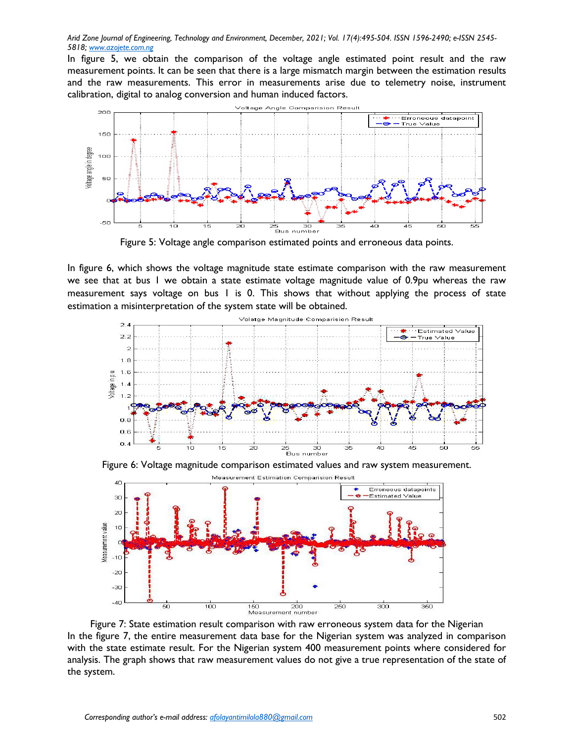In figure 5, we obtain the comparison of the voltage angle estimated point result and the raw measurement points. It can be seen that there is a large mismatch margin between the estimation results and the raw measurements. This error in measurements arise due to telemetry noise, instrument calibration, digital to analog conversion and human induced factors.



Figure 5: Voltage angle comparison estimated points and erroneous data points.

In figure 6, which shows the voltage magnitude state estimate comparison with the raw measurement we see that at bus 1 we obtain a state estimate voltage magnitude value of 0.9pu whereas the raw measurement says voltage on bus 1 is 0. This shows that without applying the process of state estimation a misinterpretation of the system state will be obtained.



Figure 6: Voltage magnitude comparison estimated values and raw system measurement.



Figure 7: State estimation result comparison with raw erroneous system data for the Nigerian In the figure 7, the entire measurement data base for the Nigerian system was analyzed in comparison with the state estimate result. For the Nigerian system 400 measurement points where considered for analysis. The graph shows that raw measurement values do not give a true representation of the state of the system.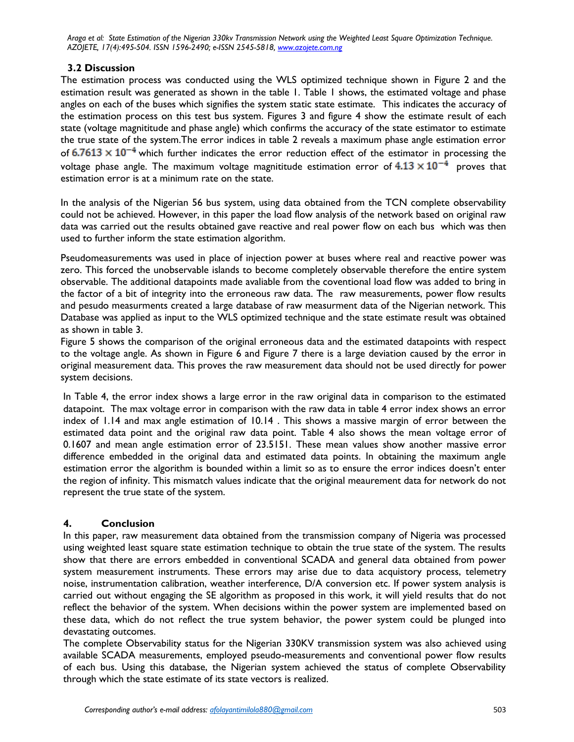# **3.2 Discussion**

The estimation process was conducted using the WLS optimized technique shown in Figure 2 and the estimation result was generated as shown in the table 1. Table 1 shows, the estimated voltage and phase angles on each of the buses which signifies the system static state estimate. This indicates the accuracy of the estimation process on this test bus system. Figures 3 and figure 4 show the estimate result of each state (voltage magnititude and phase angle) which confirms the accuracy of the state estimator to estimate the true state of the system.The error indices in table 2 reveals a maximum phase angle estimation error of  $6.7613 \times 10^{-4}$  which further indicates the error reduction effect of the estimator in processing the voltage phase angle. The maximum voltage magnititude estimation error of  $4.13 \times 10^{-4}$  proves that estimation error is at a minimum rate on the state.

In the analysis of the Nigerian 56 bus system, using data obtained from the TCN complete observability could not be achieved. However, in this paper the load flow analysis of the network based on original raw data was carried out the results obtained gave reactive and real power flow on each bus which was then used to further inform the state estimation algorithm.

Pseudomeasurements was used in place of injection power at buses where real and reactive power was zero. This forced the unobservable islands to become completely observable therefore the entire system observable. The additional datapoints made avaliable from the coventional load flow was added to bring in the factor of a bit of integrity into the erroneous raw data. The raw measurements, power flow results and pesudo measurments created a large database of raw measurment data of the Nigerian network. This Database was applied as input to the WLS optimized technique and the state estimate result was obtained as shown in table 3.

Figure 5 shows the comparison of the original erroneous data and the estimated datapoints with respect to the voltage angle. As shown in Figure 6 and Figure 7 there is a large deviation caused by the error in original measurement data. This proves the raw measurement data should not be used directly for power system decisions.

In Table 4, the error index shows a large error in the raw original data in comparison to the estimated datapoint. The max voltage error in comparison with the raw data in table 4 error index shows an error index of 1.14 and max angle estimation of 10.14 . This shows a massive margin of error between the estimated data point and the original raw data point. Table 4 also shows the mean voltage error of 0.1607 and mean angle estimation error of 23.5151. These mean values show another massive error difference embedded in the original data and estimated data points. In obtaining the maximum angle estimation error the algorithm is bounded within a limit so as to ensure the error indices doesn't enter the region of infinity. This mismatch values indicate that the original meaurement data for network do not represent the true state of the system.

# **4. Conclusion**

In this paper, raw measurement data obtained from the transmission company of Nigeria was processed using weighted least square state estimation technique to obtain the true state of the system. The results show that there are errors embedded in conventional SCADA and general data obtained from power system measurement instruments. These errors may arise due to data acquistory process, telemetry noise, instrumentation calibration, weather interference, D/A conversion etc. If power system analysis is carried out without engaging the SE algorithm as proposed in this work, it will yield results that do not reflect the behavior of the system. When decisions within the power system are implemented based on these data, which do not reflect the true system behavior, the power system could be plunged into devastating outcomes.

The complete Observability status for the Nigerian 330KV transmission system was also achieved using available SCADA measurements, employed pseudo-measurements and conventional power flow results of each bus. Using this database, the Nigerian system achieved the status of complete Observability through which the state estimate of its state vectors is realized.